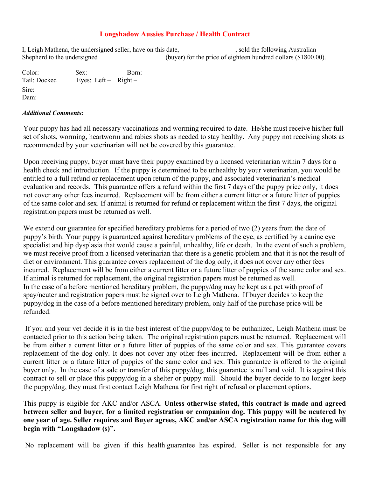## **Longshadow Aussies Purchase / Health Contract**

I, Leigh Mathena, the undersigned seller, have on this date, sold the following Australian Shepherd to the undersigned (buyer) for the price of eighteen hundred dollars (\$1800.00).

Color: Sex: Born: Tail: Docked Eyes: Left – Right – Sire: Dam:

## *Additional Comments:*

Your puppy has had all necessary vaccinations and worming required to date. He/she must receive his/her full set of shots, worming, heartworm and rabies shots as needed to stay healthy. Any puppy not receiving shots as recommended by your veterinarian will not be covered by this guarantee.

Upon receiving puppy, buyer must have their puppy examined by a licensed veterinarian within 7 days for a health check and introduction. If the puppy is determined to be unhealthy by your veterinarian, you would be entitled to a full refund or replacement upon return of the puppy, and associated veterinarian's medical evaluation and records. This guarantee offers a refund within the first 7 days of the puppy price only, it does not cover any other fees incurred. Replacement will be from either a current litter or a future litter of puppies of the same color and sex. If animal is returned for refund or replacement within the first 7 days, the original registration papers must be returned as well.

We extend our guarantee for specified hereditary problems for a period of two (2) years from the date of puppy's birth. Your puppy is guaranteed against hereditary problems of the eye, as certified by a canine eye specialist and hip dysplasia that would cause a painful, unhealthy, life or death. In the event of such a problem, we must receive proof from a licensed veterinarian that there is a genetic problem and that it is not the result of diet or environment. This guarantee covers replacement of the dog only, it does not cover any other fees incurred. Replacement will be from either a current litter or a future litter of puppies of the same color and sex. If animal is returned for replacement, the original registration papers must be returned as well. In the case of a before mentioned hereditary problem, the puppy/dog may be kept as a pet with proof of spay/neuter and registration papers must be signed over to Leigh Mathena. If buyer decides to keep the puppy/dog in the case of a before mentioned hereditary problem, only half of the purchase price will be refunded.

If you and your vet decide it is in the best interest of the puppy/dog to be euthanized, Leigh Mathena must be contacted prior to this action being taken. The original registration papers must be returned. Replacement will be from either a current litter or a future litter of puppies of the same color and sex. This guarantee covers replacement of the dog only. It does not cover any other fees incurred. Replacement will be from either a current litter or a future litter of puppies of the same color and sex. This guarantee is offered to the original buyer only. In the case of a sale or transfer of this puppy/dog, this guarantee is null and void. It is against this contract to sell or place this puppy/dog in a shelter or puppy mill. Should the buyer decide to no longer keep the puppy/dog, they must first contact Leigh Mathena for first right of refusal or placement options.

This puppy is eligible for AKC and/or ASCA. **Unless otherwise stated, this contract is made and agreed between seller and buyer, for a limited registration or companion dog. This puppy will be neutered by one year of age. Seller requires and Buyer agrees, AKC and/or ASCA registration name for this dog will begin with "Longshadow (s)".** 

No replacement will be given if this health guarantee has expired. Seller is not responsible for any